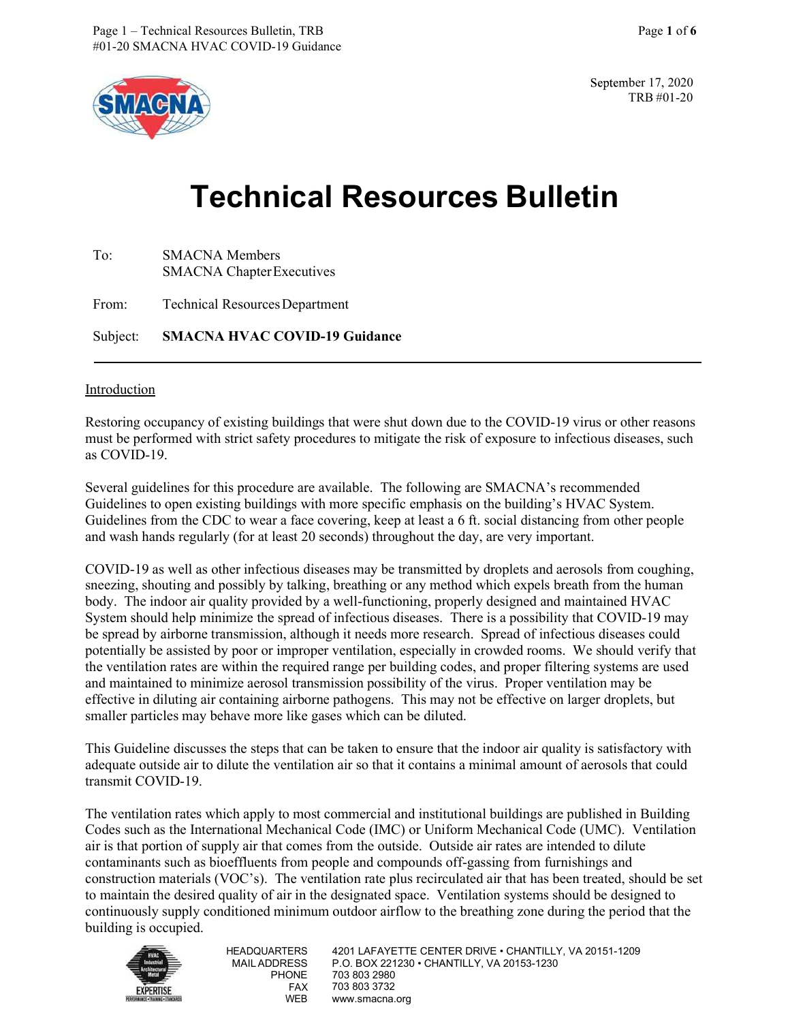

September 17, 2020 TRB #01-20

# Technical Resources Bulletin

| To:   | <b>SMACNA</b> Members<br><b>SMACNA</b> Chapter Executives |  |  |
|-------|-----------------------------------------------------------|--|--|
| From: | <b>Technical Resources Department</b>                     |  |  |
|       | Subject: SMACNA HVAC COVID-19 Guidance                    |  |  |

#### Introduction

 Restoring occupancy of existing buildings that were shut down due to the COVID-19 virus or other reasons must be performed with strict safety procedures to mitigate the risk of exposure to infectious diseases, such as COVID-19.

 Guidelines to open existing buildings with more specific emphasis on the building's HVAC System. Guidelines from the CDC to wear a face covering, keep at least a 6 ft. social distancing from other people and wash hands regularly (for at least 20 seconds) throughout the day, are very important. Several guidelines for this procedure are available. The following are SMACNA's recommended

 sneezing, shouting and possibly by talking, breathing or any method which expels breath from the human System should help minimize the spread of infectious diseases. There is a possibility that COVID-19 may COVID-19 as well as other infectious diseases may be transmitted by droplets and aerosols from coughing, body. The indoor air quality provided by a well-functioning, properly designed and maintained HVAC be spread by airborne transmission, although it needs more research. Spread of infectious diseases could potentially be assisted by poor or improper ventilation, especially in crowded rooms. We should verify that the ventilation rates are within the required range per building codes, and proper filtering systems are used and maintained to minimize aerosol transmission possibility of the virus. Proper ventilation may be effective in diluting air containing airborne pathogens. This may not be effective on larger droplets, but smaller particles may behave more like gases which can be diluted.

 This Guideline discusses the steps that can be taken to ensure that the indoor air quality is satisfactory with adequate outside air to dilute the ventilation air so that it contains a minimal amount of aerosols that could transmit COVID-19.

 Codes such as the International Mechanical Code (IMC) or Uniform Mechanical Code (UMC). Ventilation air is that portion of supply air that comes from the outside. Outside air rates are intended to dilute continuously supply conditioned minimum outdoor airflow to the breathing zone during the period that the The ventilation rates which apply to most commercial and institutional buildings are published in Building contaminants such as bioeffluents from people and compounds off-gassing from furnishings and construction materials (VOC's). The ventilation rate plus recirculated air that has been treated, should be set to maintain the desired quality of air in the designated space. Ventilation systems should be designed to building is occupied.



 HEADQUARTERS 4201 LAFAYETTE CENTER DRIVE • CHANTILLY, VA 20151-1209 MAILADDRESS P.O. BOX 221230 • CHANTILLY, VA 20153-1230 PHONE 703 803 2980 FAX 703 803 3732 WEB www.smacna.org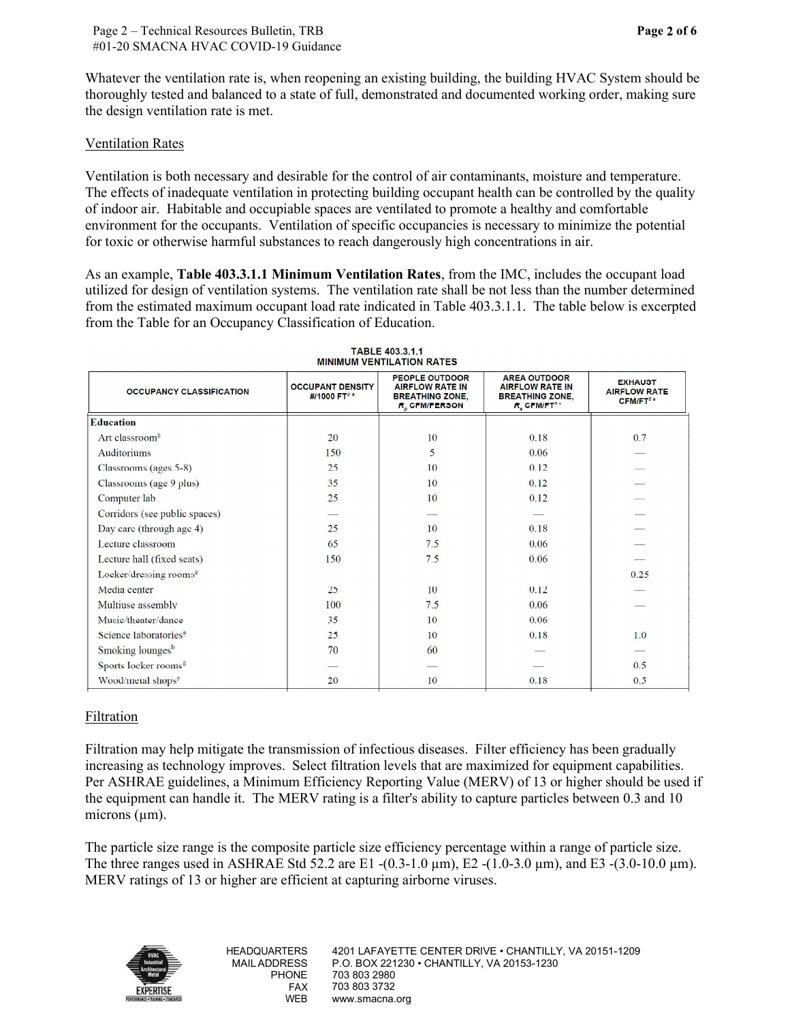Page 2 of 6

Whatever the ventilation rate is, when reopening an existing building, the building HVAC System should be thoroughly tested and balanced to a state of full, demonstrated and documented working order, making sure the design ventilation rate is met.

## Ventilation Rates

 Ventilation is both necessary and desirable for the control of air contaminants, moisture and temperature. for toxic or otherwise harmful substances to reach dangerously high concentrations in air. The effects of inadequate ventilation in protecting building occupant health can be controlled by the quality of indoor air. Habitable and occupiable spaces are ventilated to promote a healthy and comfortable environment for the occupants. Ventilation of specific occupancies is necessary to minimize the potential

As an example, Table 403.3.1.1 Minimum Ventilation Rates, from the IMC, includes the occupant load utilized for design of ventilation systems. The ventilation rate shall be not less than the number determined from the estimated maximum occupant load rate indicated in Table 403.3.1.1. The table below is excerpted from the Table for an Occupancy Classification of Education.

|                                    |                                                     | <b>PEOPLE OUTDOOR</b>                                                         | <b>AREA OUTDOOR</b>                                                                   |                                                               |
|------------------------------------|-----------------------------------------------------|-------------------------------------------------------------------------------|---------------------------------------------------------------------------------------|---------------------------------------------------------------|
| <b>OCCUPANCY CLASSIFICATION</b>    | <b>OCCUPANT DENSITY</b><br>#/1000 FT <sup>2 a</sup> | <b>AIRFLOW RATE IN</b><br><b>BREATHING ZONE,</b><br>R <sub>n</sub> CFM/PERSON | <b>AIRFLOW RATE IN</b><br><b>BREATHING ZONE,</b><br>$R_{\circ}$ CFM/FT <sup>2 a</sup> | <b>EXHAUST</b><br><b>AIRFLOW RATE</b><br>CFM/FT <sup>2a</sup> |
| <b>Education</b>                   |                                                     |                                                                               |                                                                                       |                                                               |
| Art classroom <sup>8</sup>         | 20                                                  | 10                                                                            | 0.18                                                                                  | 0.7                                                           |
| <b>Auditoriums</b>                 | 150                                                 | 5                                                                             | 0.06                                                                                  |                                                               |
| Classrooms (ages 5-8)              | 25                                                  | 10                                                                            | 0.12                                                                                  |                                                               |
| Classrooms (age 9 plus)            | 35                                                  | 10                                                                            | 0.12                                                                                  |                                                               |
| Computer lab                       | 25                                                  | 10                                                                            | 0.12                                                                                  |                                                               |
| Corridors (see public spaces)      |                                                     |                                                                               |                                                                                       |                                                               |
| Day care (through age 4)           | 25                                                  | 10                                                                            | 0.18                                                                                  |                                                               |
| Lecture classroom                  | 65                                                  | 7.5                                                                           | 0.06                                                                                  |                                                               |
| Lecture hall (fixed seats)         | 150                                                 | 7.5                                                                           | 0.06                                                                                  |                                                               |
| Locker/dressing rooms <sup>g</sup> |                                                     |                                                                               |                                                                                       | 0.25                                                          |
| Media center                       | 25                                                  | 10                                                                            | 0.12                                                                                  |                                                               |
| Multiuse assembly                  | 100                                                 | 7.5                                                                           | 0.06                                                                                  |                                                               |
| Music/theater/dance                | 35                                                  | 10                                                                            | 0.06                                                                                  |                                                               |
| Science laboratories <sup>g</sup>  | 25                                                  | 10                                                                            | 0.18                                                                                  | 1.0                                                           |
| Smoking lounges <sup>b</sup>       | 70                                                  | 60                                                                            |                                                                                       |                                                               |
| Sports locker rooms <sup>g</sup>   |                                                     |                                                                               |                                                                                       | 0.5                                                           |
| Wood/metal shops <sup>g</sup>      | 20                                                  | 10                                                                            | 0.18                                                                                  | 0.5                                                           |

| <b>TABLE 403.3.1.1</b>    |  |
|---------------------------|--|
| NIMUM VENTIL ATION RATES. |  |

# Filtration

Filtration may help mitigate the transmission of infectious diseases. Filter efficiency has been gradually increasing as technology improves. Select filtration levels that are maximized for equipment capabilities. Per ASHRAE guidelines, a Minimum Efficiency Reporting Value (MERV) of 13 or higher should be used if the equipment can handle it. The MERV rating is a filter's ability to capture particles between 0.3 and 10 microns  $(\mu m)$ .

The particle size range is the composite particle size efficiency percentage within a range of particle size. The three ranges used in ASHRAE Std 52.2 are E1 -(0.3-1.0  $\mu$ m), E2 -(1.0-3.0  $\mu$ m), and E3 -(3.0-10.0  $\mu$ m). MERV ratings of 13 or higher are efficient at capturing airborne viruses.

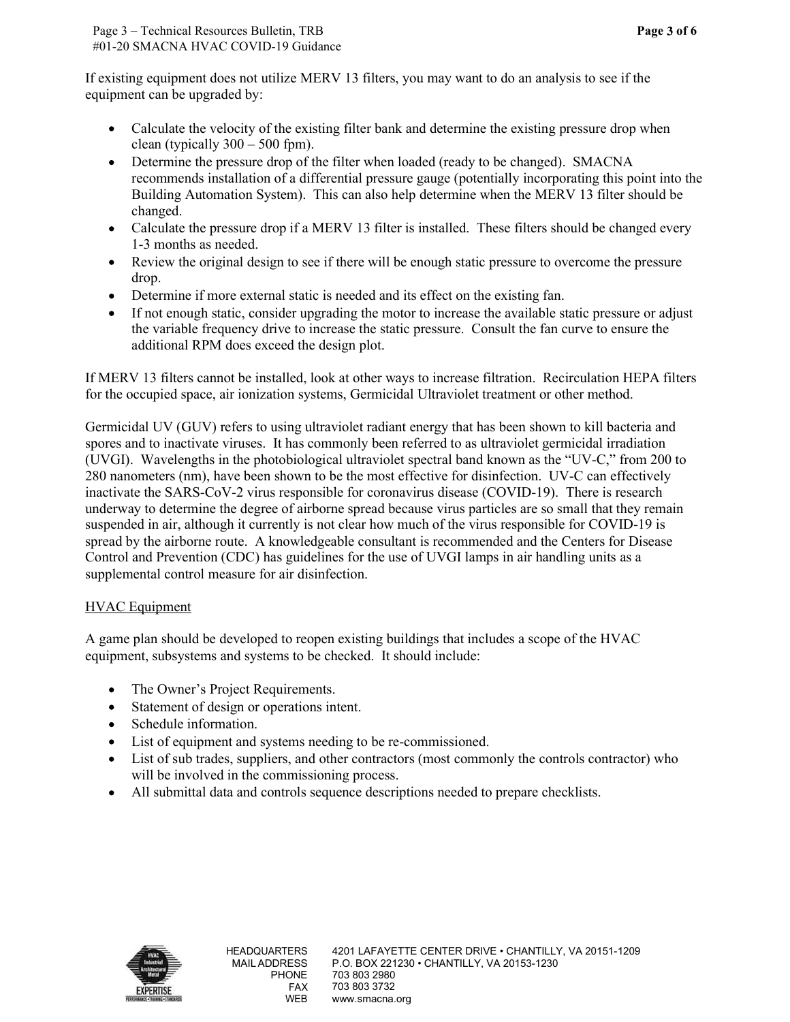If existing equipment does not utilize MERV 13 filters, you may want to do an analysis to see if the equipment can be upgraded by:

- Calculate the velocity of the existing filter bank and determine the existing pressure drop when clean (typically  $300 - 500$  fpm).
- Determine the pressure drop of the filter when loaded (ready to be changed). SMACNA recommends installation of a differential pressure gauge (potentially incorporating this point into the Building Automation System). This can also help determine when the MERV 13 filter should be changed.
- Calculate the pressure drop if a MERV 13 filter is installed. These filters should be changed every 1-3 months as needed.
- • Review the original design to see if there will be enough static pressure to overcome the pressure drop.
- Determine if more external static is needed and its effect on the existing fan. •
- • If not enough static, consider upgrading the motor to increase the available static pressure or adjust the variable frequency drive to increase the static pressure. Consult the fan curve to ensure the additional RPM does exceed the design plot.

 for the occupied space, air ionization systems, Germicidal Ultraviolet treatment or other method. If MERV 13 filters cannot be installed, look at other ways to increase filtration. Recirculation HEPA filters

 280 nanometers (nm), have been shown to be the most effective for disinfection. UV-C can effectively underway to determine the degree of airborne spread because virus particles are so small that they remain supplemental control measure for air disinfection. Germicidal UV (GUV) refers to using ultraviolet radiant energy that has been shown to kill bacteria and spores and to inactivate viruses. It has commonly been referred to as ultraviolet germicidal irradiation (UVGI). Wavelengths in the photobiological ultraviolet spectral band known as the "UV-C," from 200 to inactivate the SARS-CoV-2 virus responsible for coronavirus disease (COVID-19). There is research suspended in air, although it currently is not clear how much of the virus responsible for COVID-19 is spread by the airborne route. A knowledgeable consultant is recommended and the Centers for Disease Control and Prevention (CDC) has guidelines for the use of UVGI lamps in air handling units as a

# HVAC Equipment

 A game plan should be developed to reopen existing buildings that includes a scope of the HVAC equipment, subsystems and systems to be checked. It should include:

- The Owner's Project Requirements.
- Statement of design or operations intent.
- Schedule information.
- List of equipment and systems needing to be re-commissioned.
- List of sub trades, suppliers, and other contractors (most commonly the controls contractor) who will be involved in the commissioning process. •
- All submittal data and controls sequence descriptions needed to prepare checklists.

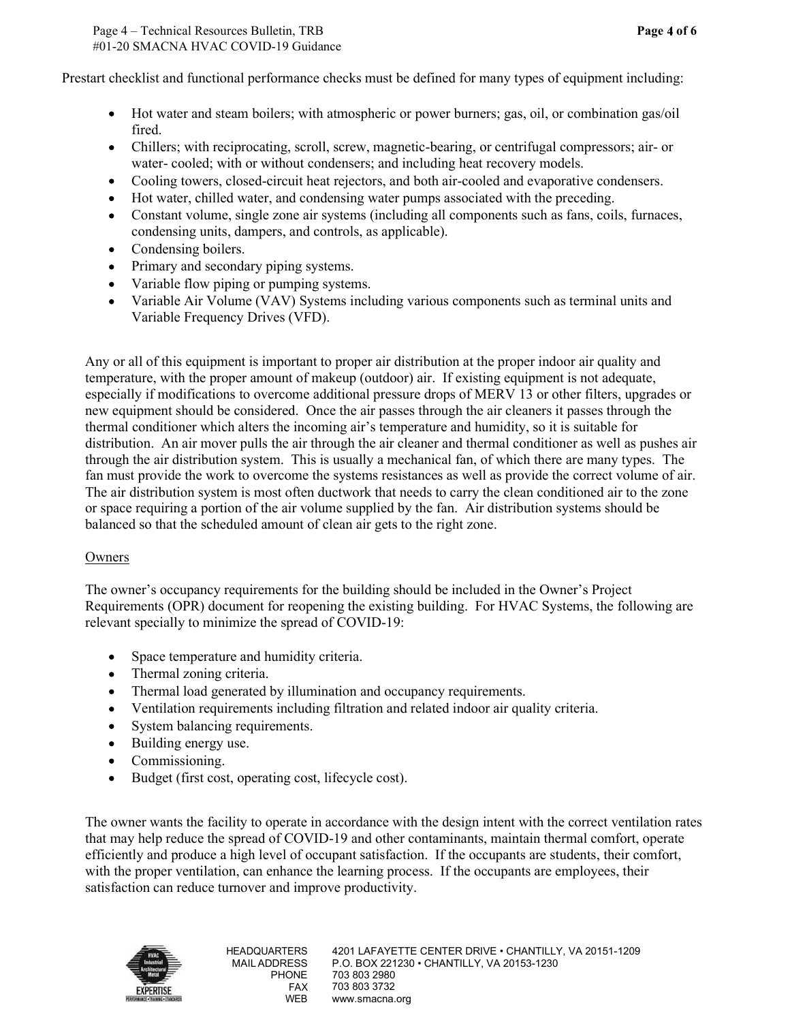Page 4 – Technical Resources Bulletin, TRB Page 4 of 6 #01-20 SMACNA HVAC COVID-19 Guidance

Prestart checklist and functional performance checks must be defined for many types of equipment including:

- Hot water and steam boilers; with atmospheric or power burners; gas, oil, or combination gas/oil fired.
- water- cooled; with or without condensers; and including heat recovery models. • Chillers; with reciprocating, scroll, screw, magnetic-bearing, or centrifugal compressors; air- or
- Cooling towers, closed-circuit heat rejectors, and both air-cooled and evaporative condensers.
- Hot water, chilled water, and condensing water pumps associated with the preceding.
- Constant volume, single zone air systems (including all components such as fans, coils, furnaces, condensing units, dampers, and controls, as applicable).
- Condensing boilers.
- Primary and secondary piping systems.
- Variable flow piping or pumping systems.
- Variable Air Volume (VAV) Systems including various components such as terminal units and • Variable Frequency Drives (VFD).

 Any or all of this equipment is important to proper air distribution at the proper indoor air quality and temperature, with the proper amount of makeup (outdoor) air. If existing equipment is not adequate, especially if modifications to overcome additional pressure drops of MERV 13 or other filters, upgrades or thermal conditioner which alters the incoming air's temperature and humidity, so it is suitable for distribution. An air mover pulls the air through the air cleaner and thermal conditioner as well as pushes air fan must provide the work to overcome the systems resistances as well as provide the correct volume of air. or space requiring a portion of the air volume supplied by the fan. Air distribution systems should be new equipment should be considered. Once the air passes through the air cleaners it passes through the through the air distribution system. This is usually a mechanical fan, of which there are many types. The The air distribution system is most often ductwork that needs to carry the clean conditioned air to the zone balanced so that the scheduled amount of clean air gets to the right zone.

## Owners

 relevant specially to minimize the spread of COVID-19: The owner's occupancy requirements for the building should be included in the Owner's Project Requirements (OPR) document for reopening the existing building. For HVAC Systems, the following are

- Space temperature and humidity criteria. •
- Thermal zoning criteria.
- Thermal load generated by illumination and occupancy requirements.
- Ventilation requirements including filtration and related indoor air quality criteria.
- System balancing requirements.
- Building energy use.
- Commissioning.
- Budget (first cost, operating cost, lifecycle cost).

 The owner wants the facility to operate in accordance with the design intent with the correct ventilation rates satisfaction can reduce turnover and improve productivity. that may help reduce the spread of COVID-19 and other contaminants, maintain thermal comfort, operate efficiently and produce a high level of occupant satisfaction. If the occupants are students, their comfort, with the proper ventilation, can enhance the learning process. If the occupants are employees, their

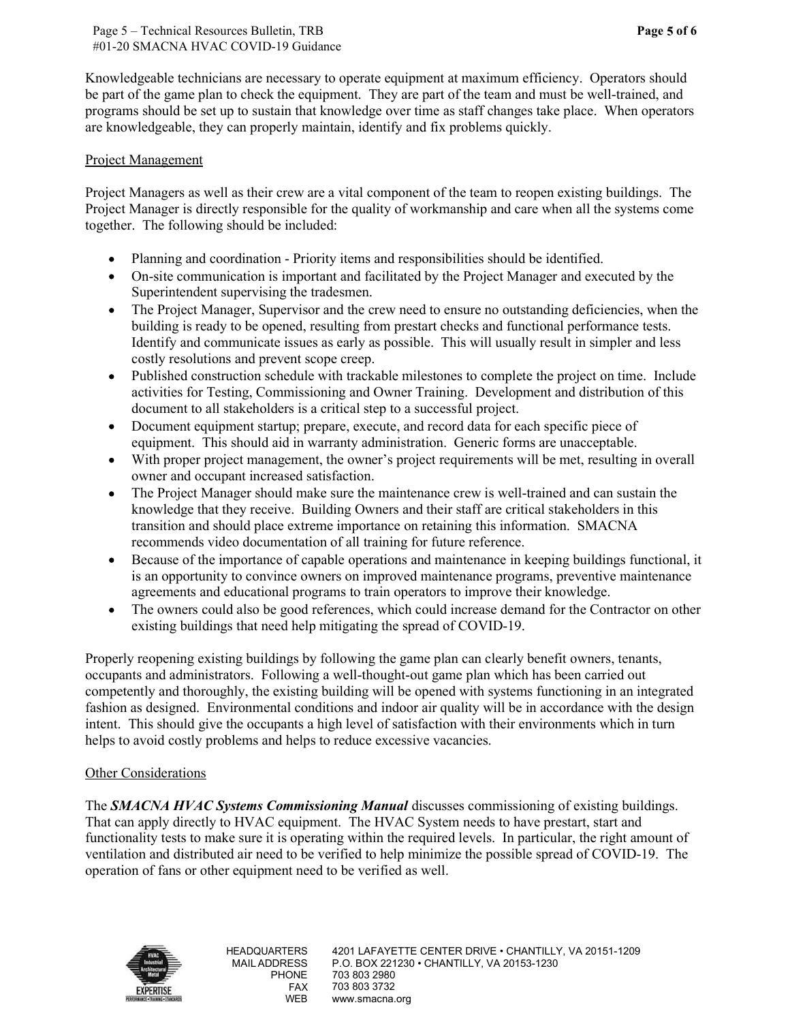be part of the game plan to check the equipment. They are part of the team and must be well-trained, and Knowledgeable technicians are necessary to operate equipment at maximum efficiency. Operators should programs should be set up to sustain that knowledge over time as staff changes take place. When operators are knowledgeable, they can properly maintain, identify and fix problems quickly.

#### Project Management

 Project Managers as well as their crew are a vital component of the team to reopen existing buildings. The Project Manager is directly responsible for the quality of workmanship and care when all the systems come together. The following should be included:

- Planning and coordination Priority items and responsibilities should be identified.
- On-site communication is important and facilitated by the Project Manager and executed by the Superintendent supervising the tradesmen.
- Identify and communicate issues as early as possible. This will usually result in simpler and less • The Project Manager, Supervisor and the crew need to ensure no outstanding deficiencies, when the building is ready to be opened, resulting from prestart checks and functional performance tests. costly resolutions and prevent scope creep.
- Published construction schedule with trackable milestones to complete the project on time. Include activities for Testing, Commissioning and Owner Training. Development and distribution of this document to all stakeholders is a critical step to a successful project.
- Document equipment startup; prepare, execute, and record data for each specific piece of • equipment. This should aid in warranty administration. Generic forms are unacceptable.
- With proper project management, the owner's project requirements will be met, resulting in overall • owner and occupant increased satisfaction.
- The Project Manager should make sure the maintenance crew is well-trained and can sustain the • knowledge that they receive. Building Owners and their staff are critical stakeholders in this transition and should place extreme importance on retaining this information. SMACNA recommends video documentation of all training for future reference.
- Because of the importance of capable operations and maintenance in keeping buildings functional, it agreements and educational programs to train operators to improve their knowledge. • is an opportunity to convince owners on improved maintenance programs, preventive maintenance
- The owners could also be good references, which could increase demand for the Contractor on other • existing buildings that need help mitigating the spread of COVID-19.

 Properly reopening existing buildings by following the game plan can clearly benefit owners, tenants, intent. This should give the occupants a high level of satisfaction with their environments which in turn occupants and administrators. Following a well-thought-out game plan which has been carried out competently and thoroughly, the existing building will be opened with systems functioning in an integrated fashion as designed. Environmental conditions and indoor air quality will be in accordance with the design helps to avoid costly problems and helps to reduce excessive vacancies.

## Other Considerations

 functionality tests to make sure it is operating within the required levels. In particular, the right amount of ventilation and distributed air need to be verified to help minimize the possible spread of COVID-19. The The **SMACNA HVAC Systems Commissioning Manual** discusses commissioning of existing buildings. That can apply directly to HVAC equipment. The HVAC System needs to have prestart, start and operation of fans or other equipment need to be verified as well.